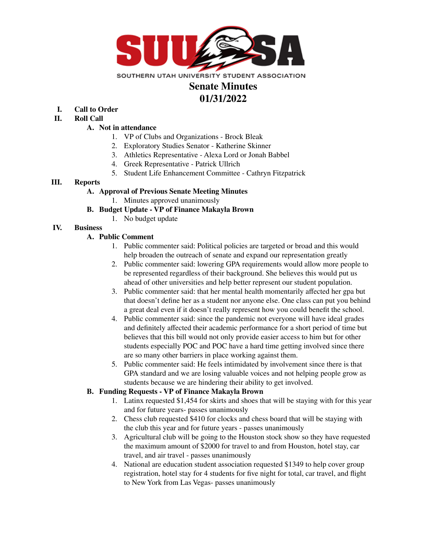

# **Senate Minutes 01/31/2022**

- **I. Call to Order**
- **II. Roll Call**

#### **A. Not in attendance**

- 1. VP of Clubs and Organizations Brock Bleak
- 2. Exploratory Studies Senator Katherine Skinner
- 3. Athletics Representative Alexa Lord or Jonah Babbel
- 4. Greek Representative Patrick Ullrich
- 5. Student Life Enhancement Committee Cathryn Fitzpatrick

## **III. Reports**

## **A. Approval of Previous Senate Meeting Minutes**

1. Minutes approved unanimously

## **B. Budget Update - VP of Finance Makayla Brown**

1. No budget update

# **IV. Business**

## **A. Public Comment**

- 1. Public commenter said: Political policies are targeted or broad and this would help broaden the outreach of senate and expand our representation greatly
- 2. Public commenter said: lowering GPA requirements would allow more people to be represented regardless of their background. She believes this would put us ahead of other universities and help better represent our student population.
- 3. Public commenter said: that her mental health momentarily affected her gpa but that doesn't define her as a student nor anyone else. One class can put you behind a great deal even if it doesn't really represent how you could benefit the school.
- 4. Public commenter said: since the pandemic not everyone will have ideal grades and definitely affected their academic performance for a short period of time but believes that this bill would not only provide easier access to him but for other students especially POC and POC have a hard time getting involved since there are so many other barriers in place working against them.
- 5. Public commenter said: He feels intimidated by involvement since there is that GPA standard and we are losing valuable voices and not helping people grow as students because we are hindering their ability to get involved.

#### **B. Funding Requests - VP of Finance Makayla Brown**

- 1. Latinx requested \$1,454 for skirts and shoes that will be staying with for this year and for future years- passes unanimously
- 2. Chess club requested \$410 for clocks and chess board that will be staying with the club this year and for future years - passes unanimously
- 3. Agricultural club will be going to the Houston stock show so they have requested the maximum amount of \$2000 for travel to and from Houston, hotel stay, car travel, and air travel - passes unanimously
- 4. National are education student association requested \$1349 to help cover group registration, hotel stay for 4 students for five night for total, car travel, and flight to New York from Las Vegas- passes unanimously